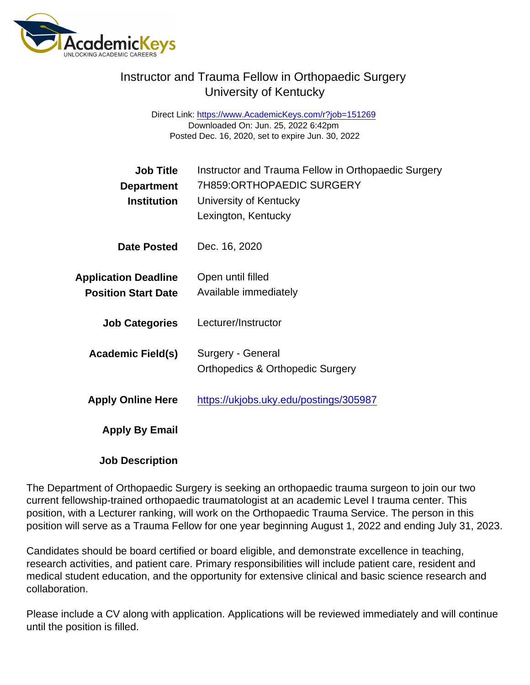## Instructor and Trauma Fellow in Orthopaedic Surgery University of Kentucky

Direct Link: <https://www.AcademicKeys.com/r?job=151269> Downloaded On: Jun. 25, 2022 6:42pm Posted Dec. 16, 2020, set to expire Jun. 30, 2022

| <b>Job Title</b><br>Department<br>Institution             | Instructor and Trauma Fellow in Orthopaedic Surgery<br>7H859:ORTHOPAEDIC SURGERY<br>University of Kentucky<br>Lexington, Kentucky |
|-----------------------------------------------------------|-----------------------------------------------------------------------------------------------------------------------------------|
| Date Posted                                               | Dec. 16, 2020                                                                                                                     |
| <b>Application Deadline</b><br><b>Position Start Date</b> | Open until filled<br>Available immediately                                                                                        |
| <b>Job Categories</b>                                     | Lecturer/Instructor                                                                                                               |
| Academic Field(s)                                         | Surgery - General<br><b>Orthopedics &amp; Orthopedic Surgery</b>                                                                  |
| <b>Apply Online Here</b>                                  | https://ukjobs.uky.edu/postings/305987                                                                                            |
| Apply By Email                                            |                                                                                                                                   |
| <b>Job Description</b>                                    |                                                                                                                                   |

The Department of Orthopaedic Surgery is seeking an orthopaedic trauma surgeon to join our two current fellowship-trained orthopaedic traumatologist at an academic Level I trauma center. This position, with a Lecturer ranking, will work on the Orthopaedic Trauma Service. The person in this position will serve as a Trauma Fellow for one year beginning August 1, 2022 and ending July 31, 2023.

Candidates should be board certified or board eligible, and demonstrate excellence in teaching, research activities, and patient care. Primary responsibilities will include patient care, resident and medical student education, and the opportunity for extensive clinical and basic science research and collaboration.

Please include a CV along with application. Applications will be reviewed immediately and will continue until the position is filled.